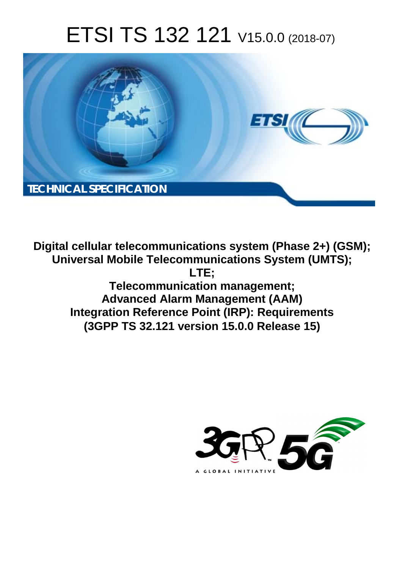# ETSI TS 132 121 V15.0.0 (2018-07)



**Digital cellular telecommunications system (Phase 2+) (GSM); Universal Mobile Telecommunications System (UMTS); LTE; Telecommunication management; Advanced Alarm Management (AAM) Integration Reference Point (IRP): Requirements (3GPP TS 32.121 version 15.0.0 Release 15)** 

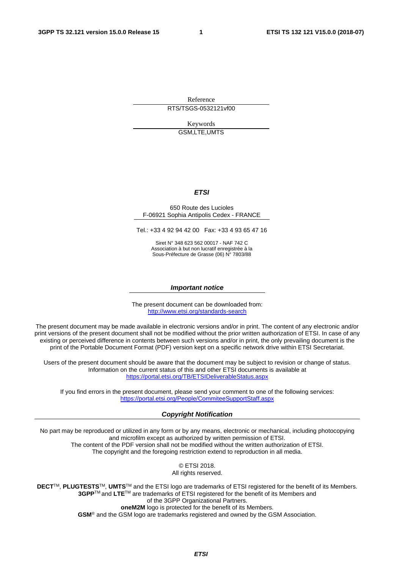Reference

RTS/TSGS-0532121vf00

Keywords GSM,LTE,UMTS

#### *ETSI*

#### 650 Route des Lucioles F-06921 Sophia Antipolis Cedex - FRANCE

Tel.: +33 4 92 94 42 00 Fax: +33 4 93 65 47 16

Siret N° 348 623 562 00017 - NAF 742 C Association à but non lucratif enregistrée à la Sous-Préfecture de Grasse (06) N° 7803/88

#### *Important notice*

The present document can be downloaded from: <http://www.etsi.org/standards-search>

The present document may be made available in electronic versions and/or in print. The content of any electronic and/or print versions of the present document shall not be modified without the prior written authorization of ETSI. In case of any existing or perceived difference in contents between such versions and/or in print, the only prevailing document is the print of the Portable Document Format (PDF) version kept on a specific network drive within ETSI Secretariat.

Users of the present document should be aware that the document may be subject to revision or change of status. Information on the current status of this and other ETSI documents is available at <https://portal.etsi.org/TB/ETSIDeliverableStatus.aspx>

If you find errors in the present document, please send your comment to one of the following services: <https://portal.etsi.org/People/CommiteeSupportStaff.aspx>

#### *Copyright Notification*

No part may be reproduced or utilized in any form or by any means, electronic or mechanical, including photocopying and microfilm except as authorized by written permission of ETSI. The content of the PDF version shall not be modified without the written authorization of ETSI. The copyright and the foregoing restriction extend to reproduction in all media.

> © ETSI 2018. All rights reserved.

**DECT**TM, **PLUGTESTS**TM, **UMTS**TM and the ETSI logo are trademarks of ETSI registered for the benefit of its Members. **3GPP**TM and **LTE**TM are trademarks of ETSI registered for the benefit of its Members and of the 3GPP Organizational Partners. **oneM2M** logo is protected for the benefit of its Members.

**GSM**® and the GSM logo are trademarks registered and owned by the GSM Association.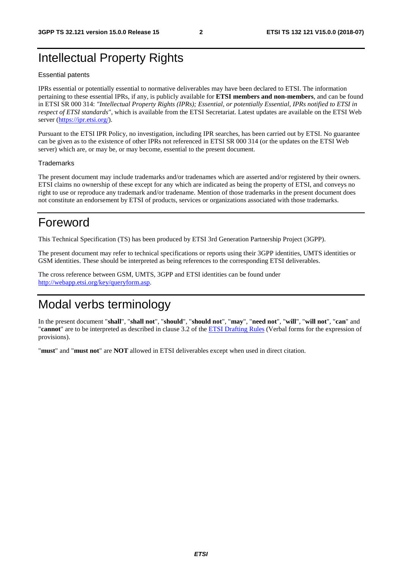### Intellectual Property Rights

#### Essential patents

IPRs essential or potentially essential to normative deliverables may have been declared to ETSI. The information pertaining to these essential IPRs, if any, is publicly available for **ETSI members and non-members**, and can be found in ETSI SR 000 314: *"Intellectual Property Rights (IPRs); Essential, or potentially Essential, IPRs notified to ETSI in respect of ETSI standards"*, which is available from the ETSI Secretariat. Latest updates are available on the ETSI Web server ([https://ipr.etsi.org/\)](https://ipr.etsi.org/).

Pursuant to the ETSI IPR Policy, no investigation, including IPR searches, has been carried out by ETSI. No guarantee can be given as to the existence of other IPRs not referenced in ETSI SR 000 314 (or the updates on the ETSI Web server) which are, or may be, or may become, essential to the present document.

#### **Trademarks**

The present document may include trademarks and/or tradenames which are asserted and/or registered by their owners. ETSI claims no ownership of these except for any which are indicated as being the property of ETSI, and conveys no right to use or reproduce any trademark and/or tradename. Mention of those trademarks in the present document does not constitute an endorsement by ETSI of products, services or organizations associated with those trademarks.

### Foreword

This Technical Specification (TS) has been produced by ETSI 3rd Generation Partnership Project (3GPP).

The present document may refer to technical specifications or reports using their 3GPP identities, UMTS identities or GSM identities. These should be interpreted as being references to the corresponding ETSI deliverables.

The cross reference between GSM, UMTS, 3GPP and ETSI identities can be found under [http://webapp.etsi.org/key/queryform.asp.](http://webapp.etsi.org/key/queryform.asp)

### Modal verbs terminology

In the present document "**shall**", "**shall not**", "**should**", "**should not**", "**may**", "**need not**", "**will**", "**will not**", "**can**" and "**cannot**" are to be interpreted as described in clause 3.2 of the [ETSI Drafting Rules](https://portal.etsi.org/Services/editHelp!/Howtostart/ETSIDraftingRules.aspx) (Verbal forms for the expression of provisions).

"**must**" and "**must not**" are **NOT** allowed in ETSI deliverables except when used in direct citation.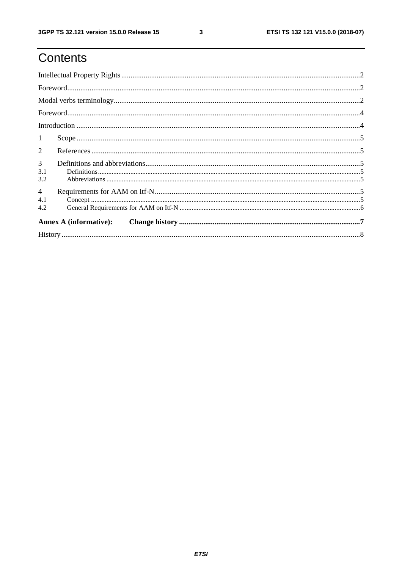# Contents

| $\mathbf{1}$                 |                                                                                                                                                                                                                                                                                                                                                                                                                                                                                                                         |  |  |  |  |  |  |
|------------------------------|-------------------------------------------------------------------------------------------------------------------------------------------------------------------------------------------------------------------------------------------------------------------------------------------------------------------------------------------------------------------------------------------------------------------------------------------------------------------------------------------------------------------------|--|--|--|--|--|--|
| $\overline{2}$               |                                                                                                                                                                                                                                                                                                                                                                                                                                                                                                                         |  |  |  |  |  |  |
| 3<br>3.1<br>3.2              | $\textbf{Definitions} \textcolor{red}{\textbf{15}} \textcolor{red}{\textbf{16}} \textcolor{red}{\textbf{17}} \textcolor{red}{\textbf{18}} \textcolor{red}{\textbf{19}} \textcolor{red}{\textbf{19}} \textcolor{red}{\textbf{19}} \textcolor{red}{\textbf{19}} \textcolor{red}{\textbf{19}} \textcolor{red}{\textbf{19}} \textcolor{red}{\textbf{19}} \textcolor{red}{\textbf{19}} \textcolor{red}{\textbf{19}} \textcolor{red}{\textbf{19}} \textcolor{red}{\textbf{19}} \textcolor{red}{\textbf{19}} \textcolor{red}{$ |  |  |  |  |  |  |
| $\overline{4}$<br>4.1<br>4.2 |                                                                                                                                                                                                                                                                                                                                                                                                                                                                                                                         |  |  |  |  |  |  |
|                              | <b>Annex A (informative):</b>                                                                                                                                                                                                                                                                                                                                                                                                                                                                                           |  |  |  |  |  |  |
|                              |                                                                                                                                                                                                                                                                                                                                                                                                                                                                                                                         |  |  |  |  |  |  |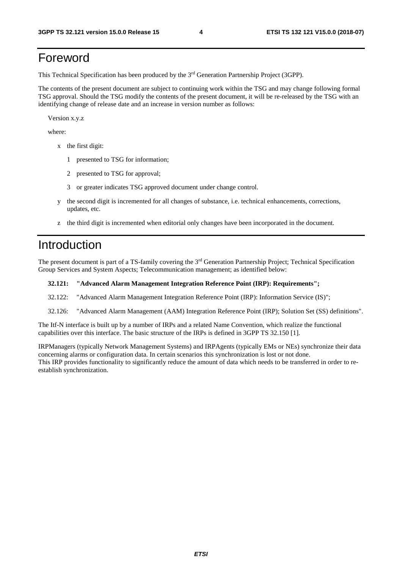### Foreword

This Technical Specification has been produced by the 3rd Generation Partnership Project (3GPP).

The contents of the present document are subject to continuing work within the TSG and may change following formal TSG approval. Should the TSG modify the contents of the present document, it will be re-released by the TSG with an identifying change of release date and an increase in version number as follows:

Version x.y.z

where:

- x the first digit:
	- 1 presented to TSG for information;
	- 2 presented to TSG for approval;
	- 3 or greater indicates TSG approved document under change control.
- y the second digit is incremented for all changes of substance, i.e. technical enhancements, corrections, updates, etc.
- z the third digit is incremented when editorial only changes have been incorporated in the document.

### Introduction

The present document is part of a TS-family covering the 3rd Generation Partnership Project; Technical Specification Group Services and System Aspects; Telecommunication management; as identified below:

#### **32.121: "Advanced Alarm Management Integration Reference Point (IRP): Requirements";**

- 32.122: "Advanced Alarm Management Integration Reference Point (IRP): Information Service (IS)";
- 32.126: "Advanced Alarm Management (AAM) Integration Reference Point (IRP); Solution Set (SS) definitions".

The Itf-N interface is built up by a number of IRPs and a related Name Convention, which realize the functional capabilities over this interface. The basic structure of the IRPs is defined in 3GPP TS 32.150 [1].

IRPManagers (typically Network Management Systems) and IRPAgents (typically EMs or NEs) synchronize their data concerning alarms or configuration data. In certain scenarios this synchronization is lost or not done. This IRP provides functionality to significantly reduce the amount of data which needs to be transferred in order to reestablish synchronization.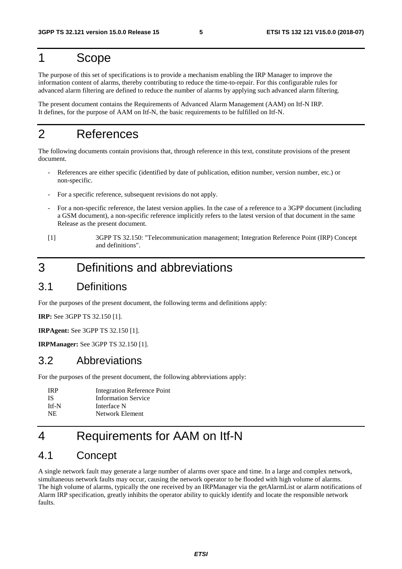### 1 Scope

The purpose of this set of specifications is to provide a mechanism enabling the IRP Manager to improve the information content of alarms, thereby contributing to reduce the time-to-repair. For this configurable rules for advanced alarm filtering are defined to reduce the number of alarms by applying such advanced alarm filtering.

The present document contains the Requirements of Advanced Alarm Management (AAM) on Itf-N IRP. It defines, for the purpose of AAM on Itf-N, the basic requirements to be fulfilled on Itf-N.

## 2 References

The following documents contain provisions that, through reference in this text, constitute provisions of the present document.

- References are either specific (identified by date of publication, edition number, version number, etc.) or non-specific.
- For a specific reference, subsequent revisions do not apply.
- For a non-specific reference, the latest version applies. In the case of a reference to a 3GPP document (including a GSM document), a non-specific reference implicitly refers to the latest version of that document in the same Release as the present document.
- [1] 3GPP TS 32.150: "Telecommunication management; Integration Reference Point (IRP) Concept and definitions".

### 3 Definitions and abbreviations

### 3.1 Definitions

For the purposes of the present document, the following terms and definitions apply:

**IRP:** See 3GPP TS 32.150 [1].

**IRPAgent:** See 3GPP TS 32.150 [1].

**IRPManager:** See 3GPP TS 32.150 [1].

### 3.2 Abbreviations

For the purposes of the present document, the following abbreviations apply:

| <b>IRP</b> | Integration Reference Point |
|------------|-----------------------------|
| IS.        | <b>Information Service</b>  |
| Itf-N      | Interface N                 |
| NE.        | Network Element             |

# 4 Requirements for AAM on Itf-N

### 4.1 Concept

A single network fault may generate a large number of alarms over space and time. In a large and complex network, simultaneous network faults may occur, causing the network operator to be flooded with high volume of alarms. The high volume of alarms, typically the one received by an IRPManager via the getAlarmList or alarm notifications of Alarm IRP specification, greatly inhibits the operator ability to quickly identify and locate the responsible network faults.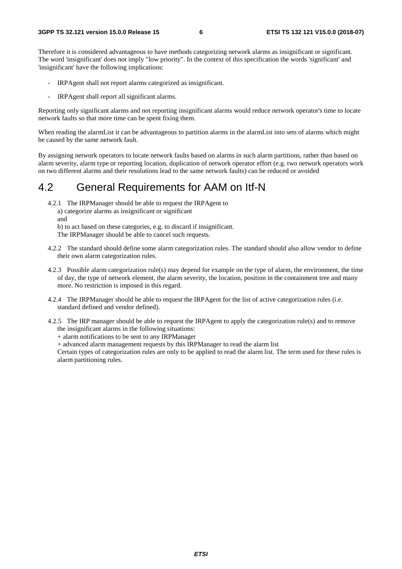Therefore it is considered advantageous to have methods categorizing network alarms as insignificant or significant. The word 'insignificant' does not imply "low priority". In the context of this specification the words 'significant' and 'insignificant' have the following implications:

- IRPAgent shall not report alarms categorized as insignificant.
- IRPAgent shall report all significant alarms.

Reporting only significant alarms and not reporting insignificant alarms would reduce network operator's time to locate network faults so that more time can be spent fixing them.

When reading the alarmList it can be advantageous to partition alarms in the alarmList into sets of alarms which might be caused by the same network fault.

By assigning network operators to locate network faults based on alarms in such alarm partitions, rather than based on alarm severity, alarm type or reporting location, duplication of network operator effort (e.g. two network operators work on two different alarms and their resolutions lead to the same network faults) can be reduced or avoided

### 4.2 General Requirements for AAM on Itf-N

- 4.2.1 The IRPManager should be able to request the IRPAgent to a) categorize alarms as insignificant or significant
	- and
	- b) to act based on these categories, e.g. to discard if insignificant.
	- The IRPManager should be able to cancel such requests.
- 4.2.2 The standard should define some alarm categorization rules. The standard should also allow vendor to define their own alarm categorization rules.
- 4.2.3 Possible alarm categorization rule(s) may depend for example on the type of alarm, the environment, the time of day, the type of network element, the alarm severity, the location, position in the containment tree and many more. No restriction is imposed in this regard.
- 4.2.4 The IRPManager should be able to request the IRPAgent for the list of active categorization rules (i.e. standard defined and vendor defined).
- 4.2.5 The IRP manager should be able to request the IRPAgent to apply the categorization rule(s) and to remove the insignificant alarms in the following situations:
	- + alarm notifications to be sent to any IRPManager
	- + advanced alarm management requests by this IRPManager to read the alarm list

Certain types of categorization rules are only to be applied to read the alarm list. The term used for these rules is alarm partitioning rules.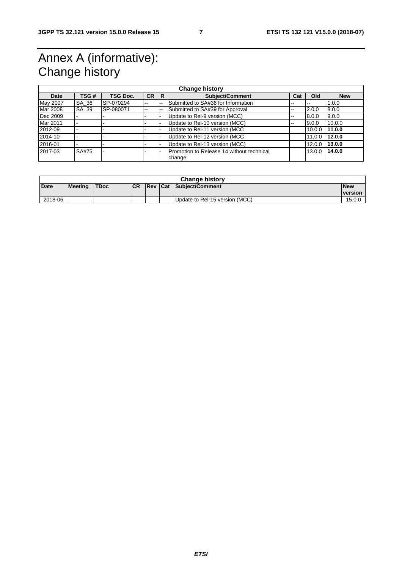# Annex A (informative): Change history

| <b>Change history</b> |       |                 |           |    |                                                     |     |                          |            |
|-----------------------|-------|-----------------|-----------|----|-----------------------------------------------------|-----|--------------------------|------------|
| Date                  | TSG # | <b>TSG Doc.</b> | <b>CR</b> | R  | <b>Subject/Comment</b>                              | Cat | Old                      | <b>New</b> |
| May 2007              | SA 36 | SP-070294       | $-$       | -- | Submitted to SA#36 for Information                  | --  | $\overline{\phantom{m}}$ | 1.0.0      |
| Mar 2008              | SA 39 | SP-080071       | $- -$     | -- | Submitted to SA#39 for Approval                     | --  | 2.0.0                    | 8.0.0      |
| Dec 2009              |       |                 |           |    | Update to Rel-9 version (MCC)                       | --  | 8.0.0                    | 9.0.0      |
| Mar 2011              |       |                 |           |    | Update to Rel-10 version (MCC)                      | --  | 9.0.0                    | 10.0.0     |
| 12012-09              |       |                 |           |    | Update to Rel-11 version (MCC                       |     | 10.0.0                   | 11.0.0     |
| 2014-10               |       |                 |           |    | Update to Rel-12 version (MCC                       |     | 11.0.0                   | 12.0.0     |
| 2016-01               |       |                 |           |    | Update to Rel-13 version (MCC)                      |     | 12.0.0                   | 13.0.0     |
| 2017-03               | SA#75 |                 |           |    | Promotion to Release 14 without technical<br>change |     | 13.0.0                   | 14.0.0     |

| <b>Change history</b> |                |             |            |  |  |                                |                              |
|-----------------------|----------------|-------------|------------|--|--|--------------------------------|------------------------------|
| <b>Date</b>           | <b>Meeting</b> | <b>TDoc</b> | <b>ICR</b> |  |  | <b>Rev Cat Subject/Comment</b> | <b>New</b><br><b>version</b> |
| 2018-06               |                |             |            |  |  | Update to Rel-15 version (MCC) | 15.0.0                       |